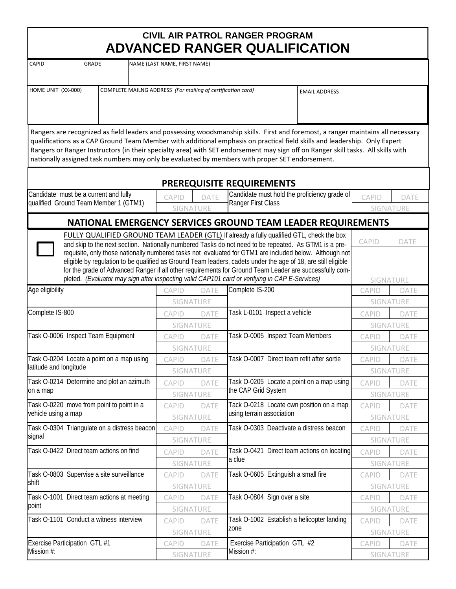| CIVIL AIR PATROL RANGER PROGRAM      |
|--------------------------------------|
| <b>ADVANCED RANGER QUALIFICATION</b> |

| <b>CAPID</b>                                                                                   | <b>GRADE</b>                                 |                                   |                                                   | NAME (LAST NAME, FIRST NAME)               |                                                  |                                                                                                                                                                                                                  |                  |              |                   |
|------------------------------------------------------------------------------------------------|----------------------------------------------|-----------------------------------|---------------------------------------------------|--------------------------------------------|--------------------------------------------------|------------------------------------------------------------------------------------------------------------------------------------------------------------------------------------------------------------------|------------------|--------------|-------------------|
|                                                                                                |                                              |                                   |                                                   |                                            |                                                  |                                                                                                                                                                                                                  |                  |              |                   |
| HOME UNIT (XX-000)<br>COMPLETE MAILNG ADDRESS (For mailing of certification card)              |                                              |                                   |                                                   |                                            | <b>EMAIL ADDRESS</b>                             |                                                                                                                                                                                                                  |                  |              |                   |
|                                                                                                |                                              |                                   |                                                   |                                            |                                                  |                                                                                                                                                                                                                  |                  |              |                   |
|                                                                                                |                                              |                                   |                                                   |                                            |                                                  |                                                                                                                                                                                                                  |                  |              |                   |
|                                                                                                |                                              |                                   |                                                   |                                            |                                                  | Rangers are recognized as field leaders and possessing woodsmanship skills. First and foremost, a ranger maintains all necessary                                                                                 |                  |              |                   |
|                                                                                                |                                              |                                   |                                                   |                                            |                                                  | qualifications as a CAP Ground Team Member with additional emphasis on practical field skills and leadership. Only Expert                                                                                        |                  |              |                   |
|                                                                                                |                                              |                                   |                                                   |                                            |                                                  | Rangers or Ranger Instructors (in their specialty area) with SET endorsement may sign off on Ranger skill tasks. All skills with                                                                                 |                  |              |                   |
|                                                                                                |                                              |                                   |                                                   |                                            |                                                  | nationally assigned task numbers may only be evaluated by members with proper SET endorsement.                                                                                                                   |                  |              |                   |
|                                                                                                |                                              |                                   |                                                   |                                            |                                                  |                                                                                                                                                                                                                  |                  |              |                   |
|                                                                                                |                                              |                                   |                                                   |                                            |                                                  | <b>PREREQUISITE REQUIREMENTS</b><br>Candidate must hold the proficiency grade of                                                                                                                                 |                  |              |                   |
| Candidate must be a current and fully<br>qualified Ground Team Member 1 (GTM1)                 |                                              |                                   | <b>CAPID</b><br><b>DATE</b><br>Ranger First Class |                                            |                                                  | <b>CAPID</b>                                                                                                                                                                                                     |                  | <b>DATE</b>  |                   |
|                                                                                                |                                              |                                   |                                                   | <b>SIGNATURE</b>                           |                                                  | SIGNATURE                                                                                                                                                                                                        |                  |              |                   |
|                                                                                                |                                              |                                   |                                                   |                                            |                                                  | NATIONAL EMERGENCY SERVICES GROUND TEAM LEADER REQUIREMENTS                                                                                                                                                      |                  |              |                   |
|                                                                                                |                                              |                                   |                                                   |                                            |                                                  | <b>FULLY QUALIFIED GROUND TEAM LEADER (GTL)</b> If already a fully qualified GTL, check the box                                                                                                                  |                  | <b>CAPID</b> | <b>DATE</b>       |
|                                                                                                |                                              |                                   |                                                   |                                            |                                                  | and skip to the next section. Nationally numbered Tasks do not need to be repeated. As GTM1 is a pre-<br>requisite, only those nationally numbered tasks not evaluated for GTM1 are included below. Although not |                  |              |                   |
|                                                                                                |                                              |                                   |                                                   |                                            |                                                  | eligible by regulation to be qualified as Ground Team leaders, cadets under the age of 18, are still eligible                                                                                                    |                  |              |                   |
|                                                                                                |                                              |                                   |                                                   |                                            |                                                  | for the grade of Advanced Ranger if all other requirements for Ground Team Leader are successfully com-                                                                                                          |                  |              |                   |
| pleted. (Evaluator may sign after inspecting valid CAP101 card or verifying in CAP E-Services) |                                              |                                   |                                                   |                                            |                                                  |                                                                                                                                                                                                                  |                  |              | <b>SIGNATURE</b>  |
| Age eligibility                                                                                |                                              |                                   |                                                   | CAPID                                      | <b>DATE</b>                                      | Complete IS-200                                                                                                                                                                                                  |                  | CAPID        | DATE              |
| Complete IS-800                                                                                |                                              | SIGNATURE                         |                                                   | Task L-0101 Inspect a vehicle              |                                                  |                                                                                                                                                                                                                  | <b>SIGNATURE</b> |              |                   |
|                                                                                                |                                              |                                   |                                                   | <b>CAPID</b>                               | <b>DATE</b><br>SIGNATURE                         |                                                                                                                                                                                                                  |                  | <b>CAPID</b> | DATE<br>SIGNATURE |
| Task O-0006 Inspect Team Equipment                                                             |                                              |                                   |                                                   | CAPID                                      | DATE                                             | Task O-0005 Inspect Team Members                                                                                                                                                                                 |                  | <b>CAPID</b> | <b>DATE</b>       |
|                                                                                                |                                              |                                   |                                                   | SIGNATURE                                  |                                                  |                                                                                                                                                                                                                  |                  | SIGNATURE    |                   |
| Task O-0204 Locate a point on a map using                                                      |                                              | <b>CAPID</b><br>DATE<br>SIGNATURE |                                                   | Task O-0007 Direct team refit after sortie | <b>CAPID</b>                                     | <b>DATE</b>                                                                                                                                                                                                      |                  |              |                   |
| latitude and longitude                                                                         |                                              |                                   |                                                   |                                            |                                                  | <b>SIGNATURE</b>                                                                                                                                                                                                 |                  |              |                   |
| Task O-0214 Determine and plot an azimuth<br>on a map                                          |                                              |                                   |                                                   | CAPID                                      | DATE                                             | Task O-0205 Locate a point on a map using                                                                                                                                                                        |                  | CAPID        | DATE              |
|                                                                                                |                                              |                                   |                                                   | SIGNATURE                                  |                                                  | the CAP Grid System                                                                                                                                                                                              |                  |              | SIGNATURE         |
|                                                                                                | Task O-0220 move from point to point in a    |                                   |                                                   | CAPID                                      | DATE                                             | Tack O-0218 Locate own position on a map                                                                                                                                                                         |                  | CAPID        | DATE              |
| vehicle using a map                                                                            |                                              |                                   |                                                   | SIGNATURE                                  |                                                  | using terrain association                                                                                                                                                                                        |                  |              | <b>SIGNATURE</b>  |
|                                                                                                | Task O-0304 Triangulate on a distress beacon |                                   |                                                   | CAPID                                      | Task O-0303 Deactivate a distress beacon<br>DATE |                                                                                                                                                                                                                  |                  | CAPID        | DATE              |
| signal                                                                                         |                                              |                                   |                                                   | SIGNATURE                                  |                                                  |                                                                                                                                                                                                                  |                  |              | SIGNATURE         |
|                                                                                                | Task O-0422 Direct team actions on find      |                                   |                                                   | <b>CAPID</b><br>DATE<br>SIGNATURE          |                                                  | Task O-0421 Direct team actions on locating                                                                                                                                                                      |                  | CAPID        | <b>DATE</b>       |
|                                                                                                |                                              |                                   |                                                   |                                            |                                                  | a clue                                                                                                                                                                                                           |                  |              | SIGNATURE         |
|                                                                                                | Task O-0803 Supervise a site surveillance    |                                   |                                                   | CAPID<br>DATE                              |                                                  | Task O-0605 Extinguish a small fire                                                                                                                                                                              | CAPID            | <b>DATE</b>  |                   |
| shift                                                                                          |                                              |                                   |                                                   | SIGNATURE                                  |                                                  |                                                                                                                                                                                                                  |                  |              | SIGNATURE         |
| Task O-1001 Direct team actions at meeting                                                     |                                              |                                   |                                                   | <b>CAPID</b>                               | DATE                                             | Task O-0804 Sign over a site                                                                                                                                                                                     |                  | <b>CAPID</b> | DATE              |
| point                                                                                          |                                              |                                   |                                                   |                                            | SIGNATURE                                        |                                                                                                                                                                                                                  |                  |              | SIGNATURE         |
| Task O-1101 Conduct a witness interview                                                        |                                              |                                   |                                                   | <b>CAPID</b>                               | DATE                                             | Task O-1002 Establish a helicopter landing                                                                                                                                                                       |                  | CAPID        | DATE              |
|                                                                                                |                                              |                                   |                                                   |                                            | SIGNATURE                                        | zone                                                                                                                                                                                                             |                  |              | SIGNATURE         |
| Exercise Participation GTL #1                                                                  |                                              |                                   |                                                   | <b>CAPID</b>                               | DATE                                             | Exercise Participation GTL #2                                                                                                                                                                                    |                  | CAPID        | DATE              |
| Mission #:                                                                                     |                                              |                                   |                                                   |                                            | Mission #:<br>SIGNATURE                          |                                                                                                                                                                                                                  |                  |              | SIGNATURE         |